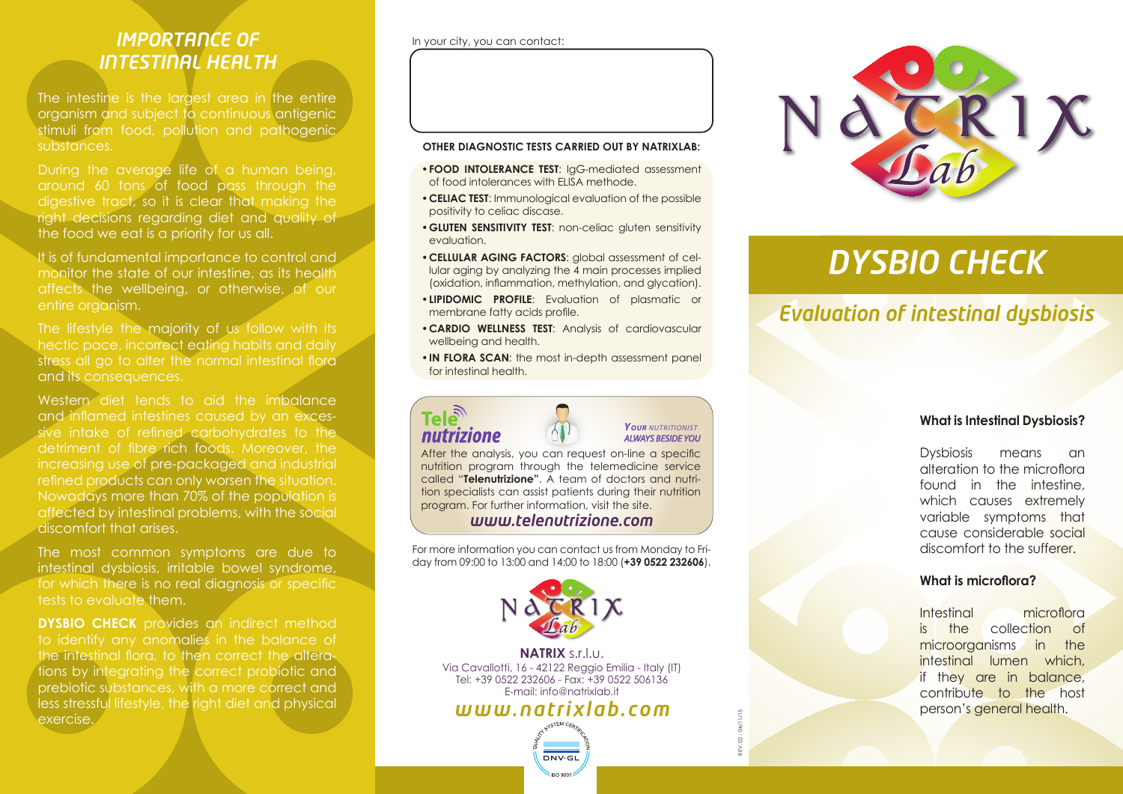# *IMPORTANCE OF INTESTINAL HEALTH*

The intestine is the largest area in the entire organism and subject to continuous antigenic stimuli from food, pollution and pathogenic substances.

During the average life of a human being, around 60 tons of food pass through the digestive tract, so it is clear that making the right decisions regarding diet and quality of the food we eat is a priority for us all.

It is of fundamental importance to control and monitor the state of our intestine, as its health affects the wellbeing, or otherwise, of our entire organism.

The lifestyle the majority of us follow with its hectic pace, incorrect eating habits and daily stress all go to alter the normal intestinal flora and its consequences.

Western diet tends to aid the imbalance and inflamed intestines caused by an excessive intake of refined carbohydrates to the detriment of fibre rich foods. Moreover, the increasing use of pre-packaged and industrial refined products can only worsen the situation. Nowadays more than 70% of the population is affected by intestinal problems, with the social discomfort that arises.

The most common symptoms are due to intestinal dysbiosis, irritable bowel syndrome, for which there is no real diagnosis or specific tests to evaluate them.

**DYSBIO CHECK** provides an indirect method to identify any anomalies in the balance of the intestinal flora, to then correct the alterations by integrating the correct probiotic and prebiotic substances, with a more correct and less stressful lifestyle, the right diet and physical exercise.

#### In your city, you can contact:

#### **OTHER DIAGNOSTIC TESTS CARRIED OUT BY NATRIXLAB:**

- **•FOOD INTOLERANCE TEST**: IgG-mediated assessment of food intolerances with ELISA methode.
- **•CELIAC TEST**: Immunological evaluation of the possible positivity to celiac discase.
- **•GLUTEN SENSITIVITY TEST**: non-celiac gluten sensitivity evaluation.
- **•CELLULAR AGING FACTORS**: global assessment of cellular aging by analyzing the 4 main processes implied (oxidation, inflammation, methylation, and glycation).
- **•LIPIDOMIC PROFILE**: Evaluation of plasmatic or membrane fatty acids profile.
- **•CARDIO WELLNESS TEST**: Analysis of cardiovascular wellbeing and health.
- **•IN FLORA SCAN**: the most in-depth assessment panel for intestinal health.



#### *YOUR NUTRITIONIST ALWAYS BESIDE YOU*

After the analysis, you can request on-line a specific nutrition program through the telemedicine service called "**Telenutrizione"**. A team of doctors and nutrition specialists can assist patients during their nutrition program. For further information, visit the site.

#### *www.telenutrizione.com*

For more information you can contact us from Monday to Friday from 09:00 to 13:00 and 14:00 to 18:00 (**+39 0522 232606**).



**NATRIX** s.r.l.u. Via Cavallotti, 16 - 42122 Reggio Emilia - Italy (IT) Tel: +39 0522 232606 - Fax: +39 0522 506136 E-mail: info@natrixlab.it

# *www.natrixlab.com*





# *DYSBIO CHECK*

# *Evaluation of intestinal dysbiosis*

#### **What is Intestinal Dysbiosis?**

Dysbiosis means an alteration to the microflora found in the intestine, which causes extremely variable symptoms that cause considerable social discomfort to the sufferer.

#### **What is microflora?**

Intestinal microflora is the collection of microorganisms in the intestinal lumen which, if they are in balance, contribute to the host person's general health.

REV. 02 - 04/11/15  $\dot{\mathbb{R}}$